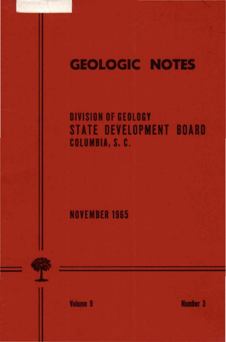# **GEOLOGIC NOTES**

## DIVISION OF GEOLOGY **STATE DEVELOPMENT BOARD** COLUMBIA, S. C.

**NOVEMBER 1965** 

**Volume 9** 

Number<sub>3</sub>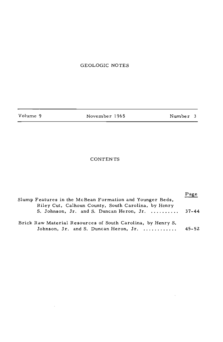## GEOLOGIC NOTES

| Volume 9 | November 1965 | Number 3 |  |
|----------|---------------|----------|--|
|          |               |          |  |

÷.

 $\bar{z}$ 

### CONTENTS

| Slump Features in the McBean Formation and Younger Beds,<br>Riley Cut, Calhoun County, South Carolina, by Henry |           |  |  |
|-----------------------------------------------------------------------------------------------------------------|-----------|--|--|
| S. Johnson, Jr. and S. Duncan Heron, Jr.                                                                        | 37-44     |  |  |
| Brick Raw Material Resources of South Carolina, by Henry S.<br>Johnson, Jr. and S. Duncan Heron, Jr.            | $45 - 52$ |  |  |

 $\sim 10^7$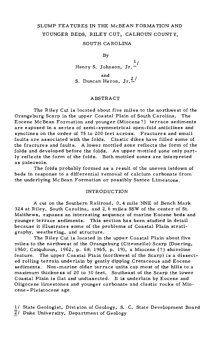## SLUMP FEATURES IN THE McBEAN FORMATION AND YOUNGER BEDS, RILEY CUT, CALHOUN COUNTY,

#### SOUTH CAROLINA

By

Henry S. Johnson, Jr. $\frac{1}{\cdot}$ and S. Duncan Heron,  $Jr.\frac{2}{r}$ 

#### **ABSTRACT**

The Riley Cut is located about five miles to the northwest of the Orangeburg Scarp in the upper Coastal Plain of South Carolina. The Eocene McBean Formation and younger {Miocene?) terrace sediments are exposed in a series of semi-symmetrical open-fold anticlines and synclines on the order of 75 to 200 feet across. Fractures and small faults are associated with the folds. Clastic dikes have filled some of the fractures and faults. *A* lower mottled zone reflects the form of the folds and developed before the folds. An upper mottled zone only partly reflects the form of the folds. Both mottled zones are interpreted as paleosols.

The folds probably formed as a result of the uneven letdown of beds in response to a differential removal of calcium carbonate from the underlying McBean Formation or possibly Santee Limestone.

#### INTRODUCTION

*A* cut on the Southern Railroad, 0. 4 mile NNE of Bench Mark 324 at Riley, South Carolina, and 2. 6 miles SSW of the center of St. Matthews, exposes an interesting sequence of marine Eocene beds and younger terrace sediments. This section has been studied in detail because it illustrates some of the problems of Coastal Plain stratigraphy, weathering, and structure.

The Riley Cut is located in the upper Coastal Plain about five miles to the northwest of the Orangeburg (Citronelle) Scarp (Doering, 1960; Colquhoun, 1962, p. 68; 1965, p. 19), a Miocene{?) shoreline feature. The upper Coastal Plain (northwest of the Scarp) is a dissected rolling terrain underlain by gently dipping Cretaceous and Eocene sediments. Non-marine older terrace units cap most of the hills to a maximum thickness of 20 to 30 feet. Southeast of the Scarp the lower Coastal Plain is flat and undissected. It is underlain by Eocene and Oligocene limestones and younger carbonate and clastic rocks of Miocene- Pleistocene age.

1/ State Geologist, Division of Geology, S. C. State Development Board Z/ Duke University, Department of Geology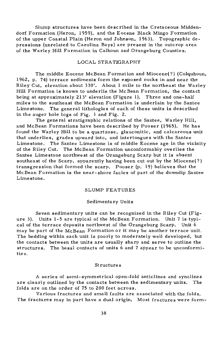Slump structures have been described in the Cretaceous Middendorf Formation (Heron, 1959), and the Eocene Black Mingo Formation of the upper Coastal Plain (Heron and Johnson, 1963). Topographic depressions (unrelated to Carolina Bays) are present in the outcrop area of the Warley Hill Formation in Calhoun and Orangeburg Counties.

#### LOCAL STRATIGRAPHY

The middle Eocene McBean Formation and Miocene(?) (Colquhoun, 1962, p. 74) terrace sediments form the exposed rocks in and near the Riley Cut, elevation about 330'. About 1 mile to the northeast the Warley Hill Formation is known to underlie the McBean Formation, the contact being at approximately 213' elevation {Figure 1). Three and one-half miles to the southeast the McBean Formation is underlain by the Santee Limestone. The general lithologies of each of these units is described in the auger hole logs of Fig. 1 and Fig. 2.

The general stratigraphic relations of the Santee, Warley Hill, and McBean Formations have been described by Pooser (1965). He has found the Warley Hill to be a quartzose, glauconitic, and calcareous unit that underlies, grades upward into, and intertongues with the Santee Limestone. The Santee Limestone is of middle Eocene age in the vicinity of the Riley Cut. The McBean Formation unconformably overlies the Santee Limestone northwest of the Orangeburg Scarp but it is absent southeast of the Scarp, apparently having been cut out by the Miocene(?) transgression that formed the scarp. Pooser (p. 19) believes that the McBean Formation is the near-shore facies of part of the downdip Santee Limestone.

#### SLUMP FEATURES

#### Sedimentary Units

Seven sedimentary units can be recognized in the Riley Cut (Figure 3). Units 1-5 are typical of the McBean Formation. Unit 7 is typical of the terrace deposits northwest of the Orangeburg Scarp. Unit 6 may be part of the McBean Formation or it may be another terrace unit. The bedding within each unit is poorly to moderately well developed, but the contacts between the units are usually sharp and serve to outline the structures. The basal contacts of units 6 and 7 appear to be unconformities.

#### Structures

A series of semi- symmetrical open-fold anticlines and synclines are clearly outlined by the contacts between the sedimentary units. The folds are on the order of 75 to 200 feet across.

Various fractures and small faults are associated with the folds. The fractures may in part have a dual origin. Most fractures were form-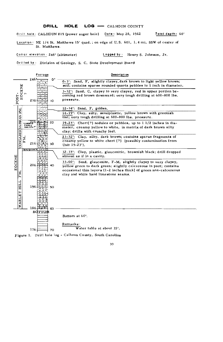#### DRILL HOLE LOG - CALHOUN COUNTY

Orill hole: CALHOUN #19 (power auger hole) Dote: May 28, 1962 Total depth: 60'

Lotolion • NE 1/4 St. Matthews 15' quad.; on edge of U.S. 601, 1. 4 mi. SSW of center of St. Matthews.

Collar elevation 246' (altimeter) Logged by: Henry S. Johnson, Jr.

Drilled by : Division of Geology, S. C. State Development Board

|                                   | Footoge           |        |                                    | Description                                                                                                                                                               |               |                                                                                                                                                                                                                                                         |                |
|-----------------------------------|-------------------|--------|------------------------------------|---------------------------------------------------------------------------------------------------------------------------------------------------------------------------|---------------|---------------------------------------------------------------------------------------------------------------------------------------------------------------------------------------------------------------------------------------------------------|----------------|
|                                   |                   |        | 246                                |                                                                                                                                                                           | o١            | 0-3': Sand, F, slightly clayey, dark brown to light yellow brown;<br>soil; contains sparse rounded quartz pebbles to I inch in diameter.                                                                                                                |                |
| EOCENE<br>$\blacksquare$<br>POST. |                   | $\sim$ | 236                                |                                                                                                                                                                           | ю             | 3-12': Sand, C, clayey to very clayey, red in upper portion be-<br>coming red brown downward; very tough drilling at 600-800 lbs.<br>pressure.                                                                                                          |                |
| CONGAREE MCBEAN FM.<br>EOCENE     |                   |        |                                    |                                                                                                                                                                           |               | 12-14': Sand, F, golden.                                                                                                                                                                                                                                |                |
|                                   |                   |        |                                    |                                                                                                                                                                           |               | 14-19': Clay, silty, semiplastic, yellow brown with greenish<br>tint; very tough drilling at 600-800 lbs. pressure.                                                                                                                                     |                |
|                                   |                   | POISIL | $\frac{226}{3}$<br>20<br>неклайн ? | $19-23'$ : Chert $(?)$ nodules or pebbles, up to $11/2$ inches in dia-<br>meter, creamy yellow to white, in matrix of dark brown silty<br>clay; drills with crunchy feel. |               |                                                                                                                                                                                                                                                         |                |
|                                   |                   | KN     | 216                                |                                                                                                                                                                           | 30            | 23-32': Clay, silty, dark brown; contains sparse fragments of<br>creamy yellow to white chert (?) (possibly contamination from<br>Unit 19-23'),                                                                                                         |                |
|                                   |                   |        | "RESIDUANT                         |                                                                                                                                                                           |               | 32-33': Clay, plastic, glauconitic, brownish black; drill dropped<br>almost as if in a cavity.                                                                                                                                                          |                |
|                                   | z<br>Įπ           |        | 206                                |                                                                                                                                                                           | 40            | $33 - 60$ .<br>Sand, glauconite, F-M, slightly clayey to very clayey,<br>yellow green to dark green; slightly calcareous in part; contains<br>occasional thin layers (1-2 inches thick) of green non-calcareous<br>clay and white hard limestone seams. |                |
|                                   | HILL<br>×<br>ARLE |        | 196                                |                                                                                                                                                                           | 50            |                                                                                                                                                                                                                                                         |                |
|                                   | ₹                 |        | $186 \pm 1$                        |                                                                                                                                                                           | 60            |                                                                                                                                                                                                                                                         |                |
|                                   |                   |        |                                    |                                                                                                                                                                           | <b>BOTTOM</b> |                                                                                                                                                                                                                                                         | Bottom at 60'. |
|                                   |                   |        |                                    |                                                                                                                                                                           |               | Remarks:<br>Water table at about 35'.                                                                                                                                                                                                                   |                |
|                                   |                   |        | 176                                |                                                                                                                                                                           | 70            | $\sim$ $\sim$ $\sim$                                                                                                                                                                                                                                    |                |

Figure 1. Drill hole log - Calhoun County, South Carolina

39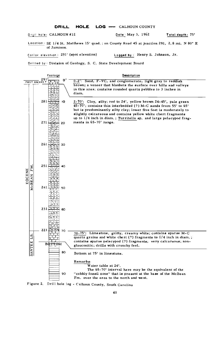DRILL HOLE LOG - CALHOUN COUNTY

Drill hole: CALHOUN #12 **Date: May 3, 1962** Total depth: 75'

Locotion: SE 1/4 St. Matthews 15' quad.; on County Road 45 at junction 291, 2.8 mi. N 80° E of Jamison.

Collor elevotion: 291' (spot elevation) Logged by: Henry S. Johnson, Jr.

Drilled by: Division of Geology. S. C. State Development Board



Figure 2. Drill hole log - Calhoun County, South Carolina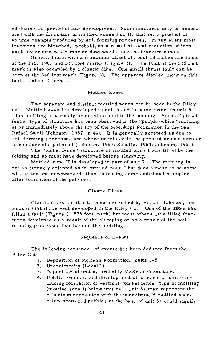ed during the period of fold development. Some fractures may be associated with the formation of mottled zones I or II, that is, a product of volume changes produced by soil forming processes. In any event most fractures are bleached, probably as a result of local reduction of iron oxide by ground water moving downward along the fracture zones.

Gravity faults with a maximum offset of about 18 inches are found at the 170, 190, and 535 foot marks (Figure 3). The fault at the 535 foot mark is also occupied by a clastic dike. One small thrust fault can be seen at the 340 foot mark (Figure 3). The apparent displacement on this fault is about 4 inches.

#### Mottled Zones

Two separate and distinct mottled zones can be seen in the Riley cut. Mottled zone I is developed in unit 6 and to some extent in unit 5. This mottling is strongly oriented normal to the bedding. Such a "picket fence" type of structure has been observed in the "purple-white" mottling at or immediately above the top of the Moenkopi Formation in the San Rafael Swell (Johnson, 1957, p 44). It is generally accepted as due to soil forming processes and where unrelated to the pre sent ground surface is considered a paleosol (Johnson, 1957; Schultz, 1963; Johnson, 1964).

The "picket fence" structure of mottled zone I was tilted by the folding and so must have developed before slumping.

Mottled zone II is developed in part of unit 7. The mottling is not as strongly oriented as in mottled zone I but does appear to be somewhat tilted and downwarped, thus indicating some additional slumping after formation of the paleosol.

#### Clastic Dikes

Clastic dikes similar to those described by Heron, Johnson, and Pooser (1965) are well developed in the Riley Cut. One of the dikes has filled a fault (Figure 3, 535 foot mark) but most others have filled fractures developed as a result of the slumping or as a result of the soil forming processes that formed the mottling.

#### Sequence of Events

The following sequence of events has been deduced from the Riley Cut:

- 1. Deposition of McBean Formation, units 1-5.
- 2. Unconformity (Local?).
- 3. Deposition of unit 6, probably McBean Formation.
- 4. Uplift, erosion, and development of paleosol in unit 6 ineluding formation of vertical "picket fence" type of mottling (mottled zone I) below unit 6a. Unit 6a may represent the A horizon associated with the underlying B mottled zone. A few scattered pebbles at the base of unit 6a could signify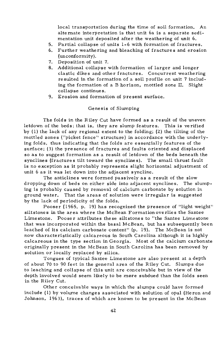local transportation during the time of soil formation. An alternate interpretation is that unit 6a is a separate sedimentation unit deposited after the weathering of unit 6.

- 5. Partial collapse of units 1-6 with formation of fractures.
- 6. Further weathering and bleaching of fractures and erosion (unconformity).
- 7. Deposition of unit 7.
- 8. Additional collapse with formation of larger and longer clastic dikes and other fractures. Concurrent weathering resulted in the formation of a soil profile on unit 7 including the formation of a B horizon, mottled zone II. Slight collapse continues.
- 9. Erosion and formation of present surface.

#### Genesis of Slwnping

The folds in the Riley Cut have formed as a result of the uneven letdown of the beds; that is, they are slump features. This is verified by ( 1) the lack of any regional extent to the folding; (2) the tilting of the mottled zones ("picket fence" structure) in accordance with the underlying folds, thus indicating that the folds are essentially features of the surface; (3) the presence of fractures and faults oriented and displaced so as to suggest formation as a result of letdown of the beds beneath the synclines (fractures tilt toward the synclines). The small thrust fault is no exception as it probably represents slight horizontal adjustment of unit 6 as it was let down into the adjacent syncline.

The anticlines were formed passively as a result of the slow dropping down of beds on either side into adjacent synclines. The slumping is probably caused by removal of calcium carbonate by solution in ground water. That the areas of solution were irregular is suggested by the lack of periodicity of the folds.

Pooser (1965, p. 19) has recognized the presence of "light weight" siltstones in the area where the McBean Formation overlies the Santee Limestone. Pooser attributes these siltstones to "the Santee Limestone that was incorporated within the basal McBean, but has subsequently been leached of its calcium carbonate content" (p. 19). The McBean is not now characteristically calcareous in South Carolina although it is highly calcareous in the type section in Georgia. Most of the calciwn carbonate originally present in the McBean in South Carolina has been removed by solution or locally replaced by silica.

Tongues of typical Santee Lime stone are also pre sent at a depth of about 70 to 90 feet in the general area of the Riley Cut. Slwnps due to leaching and collapse of this unit are conceivable but in view of the depth involved would seem likely to be more subdued than the folds seen in the Riley Cut.

Other conceivable ways in which the slwnps could have formed include (1) by volwne changes associated with solution of opal (Heron and Johnson, 1963), traces of which are known to be present in the McBean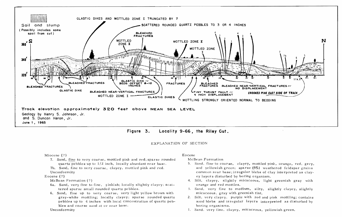



EXPLANATION OF SECTION

Miocene (?)

- 7. Sand, fine to very coarse, mottled pink and red, sparse rounded quartz pebbles up to 1/2 inch, locally abundant near base. 7b. Sand, fine to very coarse, clayey, mottled pink and red.
- Unconformity

Eocene {?)

McBean Formation (?)

- 6a. Sand, very fine to fine, pinkish; locally slightly clayey; scattered sparse small rounded quartz pebbles.
- 6. Sand, fine up to very coarse, very light yellow brown with gray-white mottling; locally clayey; sparse rounded quartz pebbles up to 4 inches with local concentration of quartz pebbles and coarse sand at or near base.

Unconformity

## Eocene

McBean Formation

- 5. Sand, fine to coarse, clayey, mottled pink, orange, red, grey, and yellowish green; sparse  $(5%)$  weathered feldspar grains common near base; irregular blebs of clay interpreted as clayey layers disturbed by boring organism.
- 4. Silt, clayey, slightly micaceous, light greenish gray with orange and red mottles.
- *3.* Sand, very fine to medium, silty, slightly clayey, slightly micaceous, gray with greenish tint.
- 2. Silt, very clayey, purple with red and pink mottling; contains sand blebs and irregular layers interpreted as disturbed by boring organisms.
- 1. Sand, very fine, clayey, micaceous, yellowish green.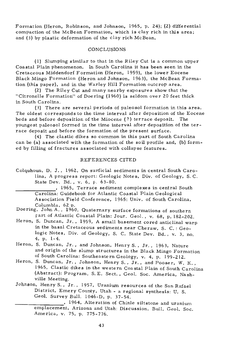Formation (Heron, Robinson, and Johnson, 1965, p. 2.4); (2) differential compaction of the McBean Formation, which is clay rich in this area; and (3) by plastic deformation of the clay rich McBean.

#### **CONCLUSIONS**

(1) Slumping similar to that in the Riley Cut is a common upper Coastal Plain phenomenon. In South Carolina it has been seen in the Cretaceous Middendorf Formation (Heron, 1959), the lower Eocene Black Mingo Formation (Heron and Johnson, 1963), the McBean Formation (this paper), and in the Warley Hill Formation outcrop area.

(2) The Riley Cut and many nearby exposures show that the "Citronelle Formation" of Doering (1960) is seldom over 20 feet thick in South Carolina.

(3) There are several periods of paleosol formation in this area. The oldest corresponds to the time interval after deposition of the Eocene beds and before deposition of the Miocene (?) terrace deposit. The youngest paleosol formed in the time interval after deposition of the terrace deposit and before the formation of the present surface.

(4) The clastic dikes so common in this part of South Carolina can be (a) associated with the formation of the soil profile and, (b) formed by filling of fractures associated with collapse features.

#### REFERENCES CITED

Colquhoun, D. J., 1962, On surficial sediments in central South Carolina, A progress report: Geologic Notes, Div. of Geology, S.C. State Dev. Bd., v. 6, p. 63-80.

, 1965, Terrace sediment complexes in central South Carolina: Guidebook for Atlantic Coastal Plain Geological Association Field Conference, 1965: Univ. of South Carolina, Columbia, 62 p.

- Doering, John A., 1960, Quaternary surface formations of southern Fart of Atlantic Coastal Plain: Jour. Geol., v. 68, p. 182-202.
- Heron, S. Duncan, Jr., 1959, A small basement cored anticlinal warp in the basal Cretaceous sediments near Cheraw, S. C.: Geologic Notes, Div. of Geology, S. C. State Dev. Bd., v. 3, no. 4, p. 1-4.
- Heron, S. Duncan, Jr., and Johnson, Henry S., Jr., 1963, Nature and origin of the slump structures in the Black Mingo Formation of South Carolina: Southeastern Geology, v. 4, p. 199-212.
- Heron, S. Duncan, Jr., Johnson, Henry S., Jr., and Pooser, W. K., 1965, Clastic dikes in the western Coastal Plain of South Carolina (Abstract): Program, S. E. Sect., Geol. Soc. America, Nashville Meeting.
- Johnson, HenryS., Jr., 1957, Uranium resources of the San Rafael District, Emery County, Utah - a regional synthesis: U. S. Geol. Survey BulL 1046-D, p. 37-54.

<sup>1964,</sup> Alteration of Chinle siltstone and uranium emplacement, Arizona and Utah: Discussion, Bull. Geol. Soc. America, v. 75, p. 775-776.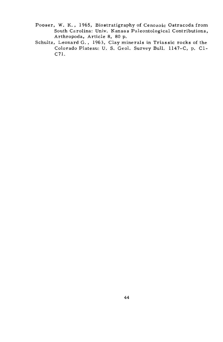- Pooser, W. K., 1965, Biostratigraphy of Cenozoic Ostracoda from South Carolina: Univ. Kansas Paleontological Contributions, Arthropoda, Article 8, 80 p.
- Schultz, Leonard G., 1963, Clay minerals in Triassic rocks of the Colorado Plateau: U. S. Geol. Survey Bull. 1147-C, p. Cl-C7l.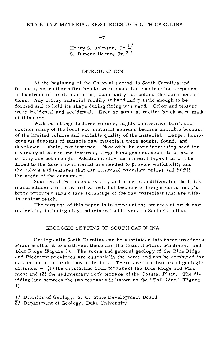#### BRICK RAW MATERIAL RESOURCES OF SOUTH CAROLINA

By

Henry S. Johnson,  $Jr.\frac{l}{r}$ S. Duncan Heron, Jr. <sup>2</sup>/

#### INTR OD UC TION

At the beginning of the Colonial period in South Carolina and for many years thereafter bricks were made for construction purposes in hundreds of small plantation, community, or behind-the-barn operations. Any clayey material readily at hand and plastic enough to be formed and to hold its shape during firing was used. Color and texture were incidental and accidental. Even so some attractive brick were made at this time.

With the change to large volume, highly competitive brick production many of the local raw material sources became unusable because of the limited volume and variable quality of the material. Large, homogeneous deposits of suitable raw materials were sought, found, and developed - shale, for instance. Now with the ever increasing need for a variety of colors and textures, large homogeneous deposits of shale or clay are not enough. Additional clay and mineral types that can be added to the base raw material are needed to provide workability and the colors and textures that can command premium prices and fulfill the needs of the consumer.

Sources of the necessary clay and mineral additives for the brick manufacturer are many and varied, but because of freight costs today's brick producer should take advantage of the raw materials that are within easiest reach.

The purpose of this paper is to point out the sources of brick raw materials, including clay and mineral additives, in South Carolina.

#### GEOLOGIC SETTING OF SOUTH CAROLINA

Geologically South Carolina can be subdivided into three provinces. From southeast to northwest these are the Coastal Plain, Piedmont, and Blue Ridge (Figure **1).** The rocks and general geology of the Blue Ridge and Piedmont provinces are essentially the same and can be combined for discussion of ceramic raw materials. There are then two broad geologic divisions  $-$  (1) the crystalline rock terrane of the Blue Ridge and Piedmont and (2) the sedimentary rock terrane of the Coastal Plain. The dividing line between the two terranes is known as the "Fall Line" (Figure **1** ).

1/ Division of Geology, S. C. State Development Board

 $\overline{2}$  Department of Geology, Duke University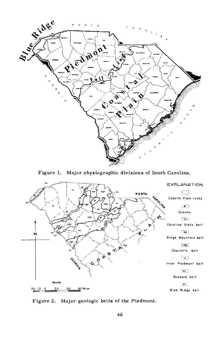

Figure 1. Major physiographic divisions of South Carolina.



Figure 2. Major geologic belts of the Piedmont.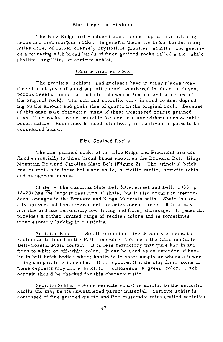#### Blue Ridge and Piedmont

The Blue Ridge and Piedmont area is made up of crystalline igneous and metamorphic rocks. In general there are broad bands, many miles wide, of ratber coarsely crystalline granites, schists, and gneisses alternating with broad bands of finer grained rocks called slate, shale, phyllite, argillite, or sericite schist.

#### Coarse Grained Rocks

The granites, schists, and gneisses have in many places weathered to clayey soils and saprolite (rock weathered in place to clayey, porous residual material that still shows the texture and structure of the original rock). The soil and saprolite vary in sand content depending on the amount and grain size of quartz in the original rock. Because of thin quartzose character many of these weathered coarse grained crystalline rocks are not suitable for ce ramie use without considerable beneficiation. Some may be used effectively as additives, a point to be considered below.

#### Fine Grained Rocks

The fine grained rocks of the Blue Ridge and Piedmont are confined essentially to three broad bands known as the Brevard Belt, Kings Mountain Belt,and Carolina Slate Belt (Figure 2). The principal brick raw materials in these belts are shale, sericitic kaolin, sericite schist, and manganese schist.

Shale. - The Carolina Slate Belt (Overstreet and Bell, 1965, p. 18-29) has the largest reserves of shale, but it also occurs in tremendous tonnages in the Brevard and Kings Mountain belts. Shale is usually an excellent basic ingredient for brick manufacture. It is easily minable and has reasonably low drying and firing shrinkage. It generally provides a rather limited range of reddish colors and is sometimes troublesomely lacking in plasticity.

Sericitic Kaolin. - Small to medium size deposits of sericitic kaolin can be found in the Fall Line zone at or near the Carolina Slate Belt- Coastal Plain contact. It is less refractory than pure kaolin and fires to white or off-white color. It can be used as an extender of kaolin in buff brick bodies where kaolin is in short supply or where a lower firing temperature is needed. It is reported that the clay from some of these deposits may cause brick to effloresce a green color. Each deposit should be checked for this characteristic.

Sericite Schist. - Some sericite schist is similar to the sericitic kaolin and may be its unweathered parent material. Sericite schist is composed of fine grained quartz and fine muscovite mica (called sericite).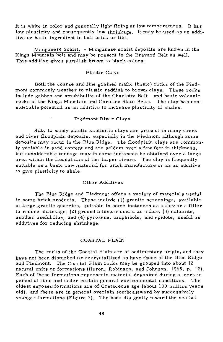It is white in color and generally light firing at low temperatures. It has low plasticity and consequently low shrinkage. It may be used as an additive or basic ingredient in buff brick or tile.

Manganese Schist. - Manganese schist deposits are known in the Kings Mountain belt and may be present in the Brevard Belt as well. This additive gives purplish brown to black colors.

#### Plastic Clays

Both the coarse and fine grained mafic (basic) rocks of the Piedmont commonly weather to plastic reddish to brown clays. These rocks include gabbro and amphibolite of the Charlotte Belt and basic volcanic rocks of the Kings Mountain and Carolina Slate Belts. The clay has considerable potential as an additive to increase plasticity of shales.

#### Piedmont River Clays

Silty to sandy plastic kaolinitic clays are present in many creek and river floodplain deposits, especially in the Piedmont although some deposits may occur in the Blue Ridge. The floodplain clays are commonly variable in sand content and are seldom over a few feet in thickness, but considerable tonnage may in some instances be obtained over a large area within the floodplains of the larger rivers. The clay is frequently suitable as a basic raw material for brick manufacture or as an additive to give plasticity to shale.

#### Other Additives

The Blue Ridge and Piedmont offers a variety of materials useful in some brick products. These include (l) granite screenings, available at large granite quarries, suitable in some instances as a flux or a filler to reduce shrinkage; (2) ground feldspar useful as a flux; (3) dolomite, another useful flux, and (4) pyroxene, amphibole, and epidote, useful as additives for reducing shrinkage.

#### COASTAL PLAIN

The rocks of the Coastal Plain are of sedimentary origin, and they have not been disturbed or recrystallized as have those of the Blue Ridge and Piedmont. The Coastal Plain rocks may be grouped into about 12 natural units or formations (Heron, Robinson, and Johnson, 1965, p. 12). Each of these formations represents material deposited during a certain period of time and under certain general environmental conditions. The oldest exposed formations are of Cretaceous age (about 100 million years old), and these are in general overlain southeastward by successively younger formations (Figure 3). The beds dip gently toward the sea but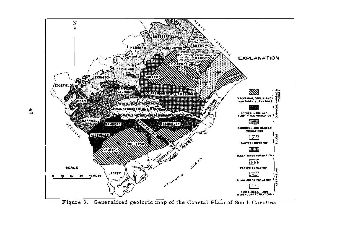

Figure 3. Generalized geologic map of the Coastal Plain of South Carolina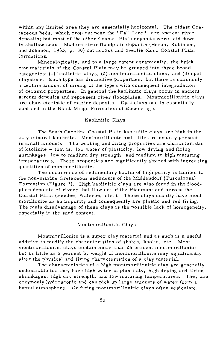within any limited area they are essentially horizontal. The oldest Cretaceous beds, which crop out near the "Fall Line", are ancient river deposits; but most of the other Coastal Plain deposits were laid down in shallow seas. Modern river floodplain deposits (Heron, Robinson, and Johnson, 1965, p. 30) cut across and overlie older Coastal Plain formations.

Mineralogically, and to a large extent ceramically, the brick raw materials of the Coastal Plain may be grouped into three broad categories: (1) kaolinitic clays, (2) montmorillonitic clays, and (3) opal claystone. Each type has distinctive properties, but there is commonly a certain amount of mixing of the types with consequent integradation of ceramic properties. In general the kaolinitic clays occur in ancient stream deposits and represent river floodplains. Montmorillonitic clays are characteristic of marine deposits. Opal claystone is essentially confined to the Black Mingo Formation of Eocene age.

#### Kaolinitic Clays

The South Carolina Coastal Plain kaolinitic clays are high in the clay mineral kaolinite. Montmorillonite and illite are usually present in small amounts. The working and firing properties are characteristic of kaolinite - that is, low water of plasticity, low drying and firing shrinkages, low to medium dry strength, and medium to high maturing temperatures. These properties are significantly altered with increasing quantities of montmorillonite.

The occurrence of sedimentary kaolin of high purity is limited to the non-marine Cretaceous sediments of the Middendorf (Tuscaloosa) Formation (Figure 3). High kaolinitic clays are also found in the floodplain deposits of rivers that flow out of the Piedmont and across the Coastal Plain (Peedee, Wateree, etc.). These clays usually have montmorillonite as an impurity and consequently are plastic and red firing. The main disadvantage of these clays is the possible lack of homogeneity, especially in the sand content.

#### Montmorillonitic Clays

Montmorillonite is a super clay material and as such is a useful additive to modify the characteristics of shales, kaolin, etc. Most montmorillonitic clays contain more than 25 percent montmorillonite but as little as 5 percent by weight of montmorillonite may significantly alter the physical and firing characteristics of a clay material.

The characteristics of a high montmorillonitic clay are generally undesirable for they have high water of plasticity, high drying and firing shrinkages, high dry strength, and low maturing temperatures. They are commonly hydroscopic and can pick up large amounts of water from a humid atmosphere. On firing montmorillonitic clays often vesiculate.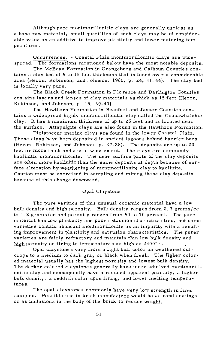Although pure montmorillonitic clays are generally useless as a base raw material, small quantities of such clays may be of considerable value as an additive to improve plasticity and lower maturing temperatures.

Occurrences. - Coastal Plain montmorillonitic clays are widespread. The formations mentioned below have the most notable deposits.

The McBean Formation in Orangeburg and Calhoun Counties contains a clay bed of 5 to 15 foot thickness that is found over a considerable area (Heron, Robinson, and Johnson, 1965, p. 24, 41- 44). The clay bed is locally very pure.

The Black Creek Formation in Flo renee and Darlington Counties contains layers and lenses of clay materials as thick as 15 feet {Heron, Robinson, and Johnson, p. 15, 39-40).

The Hawthorn Formation in Beaufort and Jasper Counties contains a widespread highly montmorillonitic clay called the Coosawhatchie clay. It has a maximum thickness of up to 25 feet and is located near the surface. Attapulgite clays are also found in the Hawthorn Formation.

Pleistocene marine clays are found in the lower Coastal Plain. These clays have been deposited in ancient lagoons behind barrier bars {Heron, Robinson, and Johnson, p. 27-28). The deposits are up to 20 feet or more thick and are of wide extent. The clays are commonly kaolinitic montmorillonite. The near surface parts of the clay deposits are often more kaolinitic than the same deposits at depth because of surface alteration by weathering of montmorillonite clay to kaolinite. Caution must be exercised in sampling and mining these clay deposits because of this change downward.

#### Opal Claystone

The pure varities of this unusual ceramic material have a low bulk density and high porosity. Bulk density ranges from 0. 7 grams/cc to 1. 2 grams/cc and porosity ranges from 50 to 70 percent. The pure material has low plasticity and poor extrusion characteristics, but some varieties contain abundant montmorillonite as an impurity with a resulting improvement in plasticity and extrusion characteristics. The purer varieties are fairly refractory and maintain thin low bulk density and high porosity on firing to temperatures as high as 2400°F.

Opal claystones vary from a light buff color on weathered outcrops to a medium to dark gray or black when fresh. The ligher colored material usually has the highest porosity and lowest bulk density. The darker colored claystones generally have more admixed montmorillonitic clay and consequently have a reduced apparent porosity, a higher bulk density, a reddish color upon firing, and lower melting temperatures.

The opal claystones commonly have very low strength in fired samples. Possible use in brick manufacture would be as sand coatings or as inclusions in the body of the brick to reduce weight.